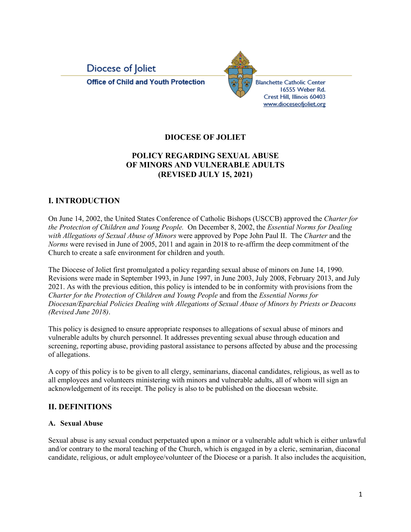



# **DIOCESE OF JOLIET**

# **POLICY REGARDING SEXUAL ABUSE OF MINORS AND VULNERABLE ADULTS (REVISED JULY 15, 2021)**

# **I. INTRODUCTION**

On June 14, 2002, the United States Conference of Catholic Bishops (USCCB) approved the *Charter for the Protection of Children and Young People.* On December 8, 2002, the *Essential Norms for Dealing with Allegations of Sexual Abuse of Minors* were approved by Pope John Paul II. The *Charter* and the *Norms* were revised in June of 2005, 2011 and again in 2018 to re-affirm the deep commitment of the Church to create a safe environment for children and youth.

The Diocese of Joliet first promulgated a policy regarding sexual abuse of minors on June 14, 1990. Revisions were made in September 1993, in June 1997, in June 2003, July 2008, February 2013, and July 2021. As with the previous edition, this policy is intended to be in conformity with provisions from the *Charter for the Protection of Children and Young People* and from the *Essential Norms for Diocesan/Eparchial Policies Dealing with Allegations of Sexual Abuse of Minors by Priests or Deacons (Revised June 2018)*.

This policy is designed to ensure appropriate responses to allegations of sexual abuse of minors and vulnerable adults by church personnel. It addresses preventing sexual abuse through education and screening, reporting abuse, providing pastoral assistance to persons affected by abuse and the processing of allegations.

A copy of this policy is to be given to all clergy, seminarians, diaconal candidates, religious, as well as to all employees and volunteers ministering with minors and vulnerable adults, all of whom will sign an acknowledgement of its receipt. The policy is also to be published on the diocesan website.

# **II. DEFINITIONS**

# **A. Sexual Abuse**

Sexual abuse is any sexual conduct perpetuated upon a minor or a vulnerable adult which is either unlawful and/or contrary to the moral teaching of the Church, which is engaged in by a cleric, seminarian, diaconal candidate, religious, or adult employee/volunteer of the Diocese or a parish. It also includes the acquisition,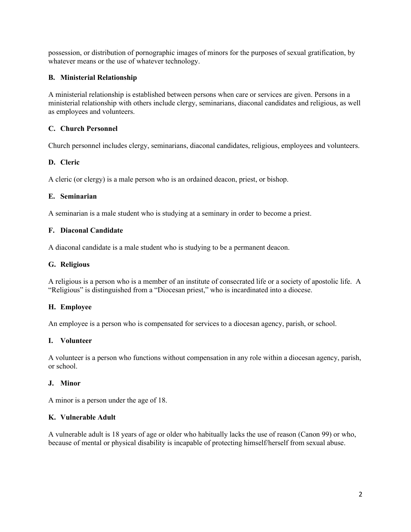possession, or distribution of pornographic images of minors for the purposes of sexual gratification, by whatever means or the use of whatever technology.

## **B. Ministerial Relationship**

A ministerial relationship is established between persons when care or services are given. Persons in a ministerial relationship with others include clergy, seminarians, diaconal candidates and religious, as well as employees and volunteers.

### **C. Church Personnel**

Church personnel includes clergy, seminarians, diaconal candidates, religious, employees and volunteers.

#### **D. Cleric**

A cleric (or clergy) is a male person who is an ordained deacon, priest, or bishop.

#### **E. Seminarian**

A seminarian is a male student who is studying at a seminary in order to become a priest.

#### **F. Diaconal Candidate**

A diaconal candidate is a male student who is studying to be a permanent deacon.

#### **G. Religious**

A religious is a person who is a member of an institute of consecrated life or a society of apostolic life. A "Religious" is distinguished from a "Diocesan priest," who is incardinated into a diocese.

#### **H. Employee**

An employee is a person who is compensated for services to a diocesan agency, parish, or school.

#### **I. Volunteer**

A volunteer is a person who functions without compensation in any role within a diocesan agency, parish, or school.

#### **J. Minor**

A minor is a person under the age of 18.

## **K. Vulnerable Adult**

A vulnerable adult is 18 years of age or older who habitually lacks the use of reason (Canon 99) or who, because of mental or physical disability is incapable of protecting himself/herself from sexual abuse.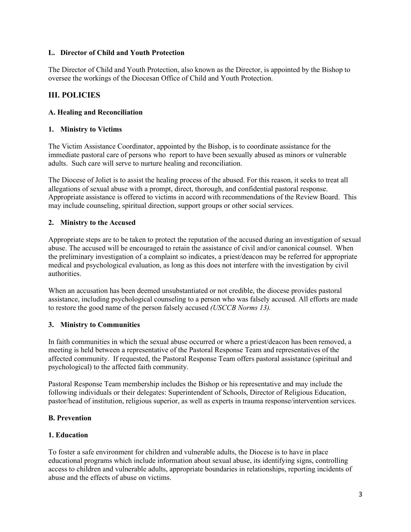### **L. Director of Child and Youth Protection**

The Director of Child and Youth Protection, also known as the Director, is appointed by the Bishop to oversee the workings of the Diocesan Office of Child and Youth Protection.

# **III. POLICIES**

## **A. Healing and Reconciliation**

## **1. Ministry to Victims**

The Victim Assistance Coordinator, appointed by the Bishop, is to coordinate assistance for the immediate pastoral care of persons who report to have been sexually abused as minors or vulnerable adults. Such care will serve to nurture healing and reconciliation.

The Diocese of Joliet is to assist the healing process of the abused. For this reason, it seeks to treat all allegations of sexual abuse with a prompt, direct, thorough, and confidential pastoral response. Appropriate assistance is offered to victims in accord with recommendations of the Review Board. This may include counseling, spiritual direction, support groups or other social services.

## **2. Ministry to the Accused**

Appropriate steps are to be taken to protect the reputation of the accused during an investigation of sexual abuse. The accused will be encouraged to retain the assistance of civil and/or canonical counsel. When the preliminary investigation of a complaint so indicates, a priest/deacon may be referred for appropriate medical and psychological evaluation, as long as this does not interfere with the investigation by civil authorities.

When an accusation has been deemed unsubstantiated or not credible, the diocese provides pastoral assistance, including psychological counseling to a person who was falsely accused. All efforts are made to restore the good name of the person falsely accused *(USCCB Norms 13).*

# **3. Ministry to Communities**

In faith communities in which the sexual abuse occurred or where a priest/deacon has been removed, a meeting is held between a representative of the Pastoral Response Team and representatives of the affected community. If requested, the Pastoral Response Team offers pastoral assistance (spiritual and psychological) to the affected faith community.

Pastoral Response Team membership includes the Bishop or his representative and may include the following individuals or their delegates: Superintendent of Schools, Director of Religious Education, pastor/head of institution, religious superior, as well as experts in trauma response/intervention services.

# **B. Prevention**

#### **1. Education**

To foster a safe environment for children and vulnerable adults, the Diocese is to have in place educational programs which include information about sexual abuse, its identifying signs, controlling access to children and vulnerable adults, appropriate boundaries in relationships, reporting incidents of abuse and the effects of abuse on victims.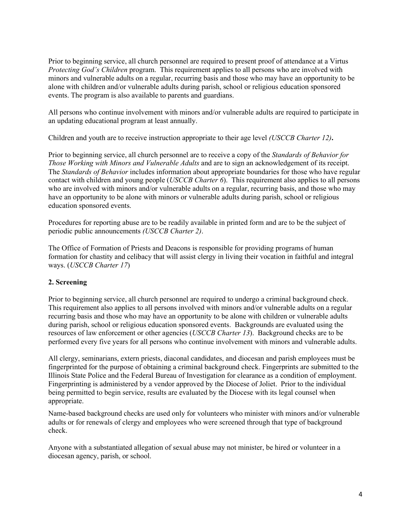Prior to beginning service, all church personnel are required to present proof of attendance at a Virtus *Protecting God's Children program.* This requirement applies to all persons who are involved with minors and vulnerable adults on a regular, recurring basis and those who may have an opportunity to be alone with children and/or vulnerable adults during parish, school or religious education sponsored events. The program is also available to parents and guardians.

All persons who continue involvement with minors and/or vulnerable adults are required to participate in an updating educational program at least annually.

Children and youth are to receive instruction appropriate to their age level *(USCCB Charter 12)***.**

Prior to beginning service, all church personnel are to receive a copy of the *Standards of Behavior for Those Working with Minors and Vulnerable Adults* and are to sign an acknowledgement of its receipt. The *Standards of Behavior* includes information about appropriate boundaries for those who have regular contact with children and young people (*USCCB Charter 6*). This requirement also applies to all persons who are involved with minors and/or vulnerable adults on a regular, recurring basis, and those who may have an opportunity to be alone with minors or vulnerable adults during parish, school or religious education sponsored events.

Procedures for reporting abuse are to be readily available in printed form and are to be the subject of periodic public announcements *(USCCB Charter 2)*.

The Office of Formation of Priests and Deacons is responsible for providing programs of human formation for chastity and celibacy that will assist clergy in living their vocation in faithful and integral ways. (*USCCB Charter 17*)

# **2. Screening**

Prior to beginning service, all church personnel are required to undergo a criminal background check. This requirement also applies to all persons involved with minors and/or vulnerable adults on a regular recurring basis and those who may have an opportunity to be alone with children or vulnerable adults during parish, school or religious education sponsored events. Backgrounds are evaluated using the resources of law enforcement or other agencies (*USCCB Charter 13*). Background checks are to be performed every five years for all persons who continue involvement with minors and vulnerable adults.

All clergy, seminarians, extern priests, diaconal candidates, and diocesan and parish employees must be fingerprinted for the purpose of obtaining a criminal background check. Fingerprints are submitted to the Illinois State Police and the Federal Bureau of Investigation for clearance as a condition of employment. Fingerprinting is administered by a vendor approved by the Diocese of Joliet. Prior to the individual being permitted to begin service, results are evaluated by the Diocese with its legal counsel when appropriate.

Name-based background checks are used only for volunteers who minister with minors and/or vulnerable adults or for renewals of clergy and employees who were screened through that type of background check.

Anyone with a substantiated allegation of sexual abuse may not minister, be hired or volunteer in a diocesan agency, parish, or school.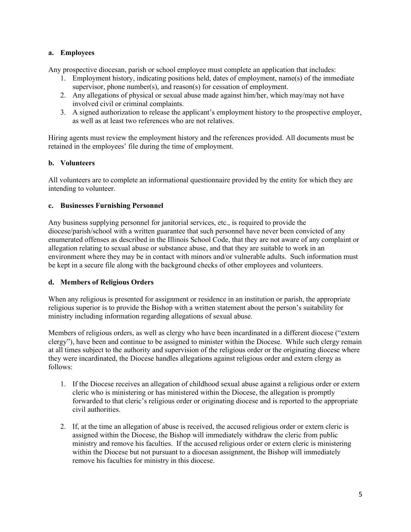## **a. Employees**

Any prospective diocesan, parish or school employee must complete an application that includes:

- 1. Employment history, indicating positions held, dates of employment, name(s) of the immediate supervisor, phone number(s), and reason(s) for cessation of employment.
- 2. Any allegations of physical or sexual abuse made against him/her, which may/may not have involved civil or criminal complaints.
- 3. A signed authorization to release the applicant's employment history to the prospective employer, as well as at least two references who are not relatives.

Hiring agents must review the employment history and the references provided. All documents must be retained in the employees' file during the time of employment.

#### **b. Volunteers**

All volunteers are to complete an informational questionnaire provided by the entity for which they are intending to volunteer.

## **c. Businesses Furnishing Personnel**

Any business supplying personnel for janitorial services, etc., is required to provide the diocese/parish/school with a written guarantee that such personnel have never been convicted of any enumerated offenses as described in the Illinois School Code, that they are not aware of any complaint or allegation relating to sexual abuse or substance abuse, and that they are suitable to work in an environment where they may be in contact with minors and/or vulnerable adults. Such information must be kept in a secure file along with the background checks of other employees and volunteers.

# **d. Members of Religious Orders**

When any religious is presented for assignment or residence in an institution or parish, the appropriate religious superior is to provide the Bishop with a written statement about the person's suitability for ministry including information regarding allegations of sexual abuse.

Members of religious orders, as well as clergy who have been incardinated in a different diocese ("extern clergy"), have been and continue to be assigned to minister within the Diocese. While such clergy remain at all times subject to the authority and supervision of the religious order or the originating diocese where they were incardinated, the Diocese handles allegations against religious order and extern clergy as follows:

- 1. If the Diocese receives an allegation of childhood sexual abuse against a religious order or extern cleric who is ministering or has ministered within the Diocese, the allegation is promptly forwarded to that cleric's religious order or originating diocese and is reported to the appropriate civil authorities.
- 2. If, at the time an allegation of abuse is received, the accused religious order or extern cleric is assigned within the Diocese, the Bishop will immediately withdraw the cleric from public ministry and remove his faculties. If the accused religious order or extern cleric is ministering within the Diocese but not pursuant to a diocesan assignment, the Bishop will immediately remove his faculties for ministry in this diocese.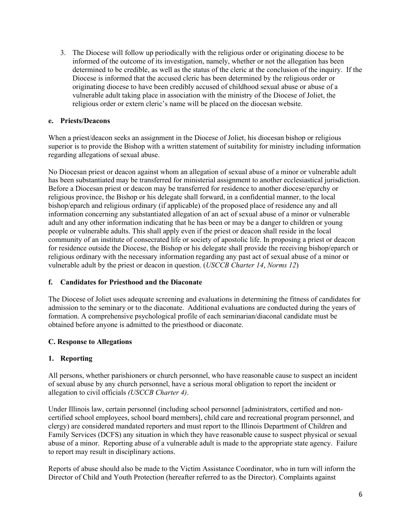3. The Diocese will follow up periodically with the religious order or originating diocese to be informed of the outcome of its investigation, namely, whether or not the allegation has been determined to be credible, as well as the status of the cleric at the conclusion of the inquiry. If the Diocese is informed that the accused cleric has been determined by the religious order or originating diocese to have been credibly accused of childhood sexual abuse or abuse of a vulnerable adult taking place in association with the ministry of the Diocese of Joliet, the religious order or extern cleric's name will be placed on the diocesan website.

## **e. Priests/Deacons**

When a priest/deacon seeks an assignment in the Diocese of Joliet, his diocesan bishop or religious superior is to provide the Bishop with a written statement of suitability for ministry including information regarding allegations of sexual abuse.

No Diocesan priest or deacon against whom an allegation of sexual abuse of a minor or vulnerable adult has been substantiated may be transferred for ministerial assignment to another ecclesiastical jurisdiction. Before a Diocesan priest or deacon may be transferred for residence to another diocese/eparchy or religious province, the Bishop or his delegate shall forward, in a confidential manner, to the local bishop/eparch and religious ordinary (if applicable) of the proposed place of residence any and all information concerning any substantiated allegation of an act of sexual abuse of a minor or vulnerable adult and any other information indicating that he has been or may be a danger to children or young people or vulnerable adults. This shall apply even if the priest or deacon shall reside in the local community of an institute of consecrated life or society of apostolic life. In proposing a priest or deacon for residence outside the Diocese, the Bishop or his delegate shall provide the receiving bishop/eparch or religious ordinary with the necessary information regarding any past act of sexual abuse of a minor or vulnerable adult by the priest or deacon in question. (*USCCB Charter 14*, *Norms 12*)

# **f. Candidates for Priesthood and the Diaconate**

The Diocese of Joliet uses adequate screening and evaluations in determining the fitness of candidates for admission to the seminary or to the diaconate. Additional evaluations are conducted during the years of formation. A comprehensive psychological profile of each seminarian/diaconal candidate must be obtained before anyone is admitted to the priesthood or diaconate.

#### **C. Response to Allegations**

# **1. Reporting**

All persons, whether parishioners or church personnel, who have reasonable cause to suspect an incident of sexual abuse by any church personnel, have a serious moral obligation to report the incident or allegation to civil officials *(USCCB Charter 4)*.

Under Illinois law, certain personnel (including school personnel [administrators, certified and noncertified school employees, school board members], child care and recreational program personnel, and clergy) are considered mandated reporters and must report to the Illinois Department of Children and Family Services (DCFS) any situation in which they have reasonable cause to suspect physical or sexual abuse of a minor. Reporting abuse of a vulnerable adult is made to the appropriate state agency. Failure to report may result in disciplinary actions.

Reports of abuse should also be made to the Victim Assistance Coordinator, who in turn will inform the Director of Child and Youth Protection (hereafter referred to as the Director). Complaints against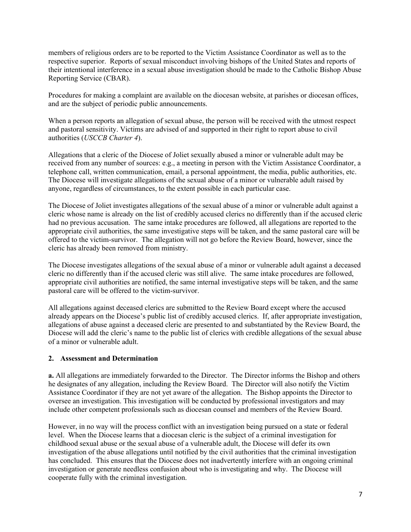members of religious orders are to be reported to the Victim Assistance Coordinator as well as to the respective superior. Reports of sexual misconduct involving bishops of the United States and reports of their intentional interference in a sexual abuse investigation should be made to the Catholic Bishop Abuse Reporting Service (CBAR).

Procedures for making a complaint are available on the diocesan website, at parishes or diocesan offices, and are the subject of periodic public announcements.

When a person reports an allegation of sexual abuse, the person will be received with the utmost respect and pastoral sensitivity. Victims are advised of and supported in their right to report abuse to civil authorities (*USCCB Charter 4*).

Allegations that a cleric of the Diocese of Joliet sexually abused a minor or vulnerable adult may be received from any number of sources: e.g., a meeting in person with the Victim Assistance Coordinator, a telephone call, written communication, email, a personal appointment, the media, public authorities, etc. The Diocese will investigate allegations of the sexual abuse of a minor or vulnerable adult raised by anyone, regardless of circumstances, to the extent possible in each particular case.

The Diocese of Joliet investigates allegations of the sexual abuse of a minor or vulnerable adult against a cleric whose name is already on the list of credibly accused clerics no differently than if the accused cleric had no previous accusation. The same intake procedures are followed, all allegations are reported to the appropriate civil authorities, the same investigative steps will be taken, and the same pastoral care will be offered to the victim-survivor. The allegation will not go before the Review Board, however, since the cleric has already been removed from ministry.

The Diocese investigates allegations of the sexual abuse of a minor or vulnerable adult against a deceased cleric no differently than if the accused cleric was still alive. The same intake procedures are followed, appropriate civil authorities are notified, the same internal investigative steps will be taken, and the same pastoral care will be offered to the victim-survivor.

All allegations against deceased clerics are submitted to the Review Board except where the accused already appears on the Diocese's public list of credibly accused clerics. If, after appropriate investigation, allegations of abuse against a deceased cleric are presented to and substantiated by the Review Board, the Diocese will add the cleric's name to the public list of clerics with credible allegations of the sexual abuse of a minor or vulnerable adult.

#### **2. Assessment and Determination**

**a.** All allegations are immediately forwarded to the Director. The Director informs the Bishop and others he designates of any allegation, including the Review Board. The Director will also notify the Victim Assistance Coordinator if they are not yet aware of the allegation. The Bishop appoints the Director to oversee an investigation. This investigation will be conducted by professional investigators and may include other competent professionals such as diocesan counsel and members of the Review Board.

However, in no way will the process conflict with an investigation being pursued on a state or federal level. When the Diocese learns that a diocesan cleric is the subject of a criminal investigation for childhood sexual abuse or the sexual abuse of a vulnerable adult, the Diocese will defer its own investigation of the abuse allegations until notified by the civil authorities that the criminal investigation has concluded. This ensures that the Diocese does not inadvertently interfere with an ongoing criminal investigation or generate needless confusion about who is investigating and why. The Diocese will cooperate fully with the criminal investigation.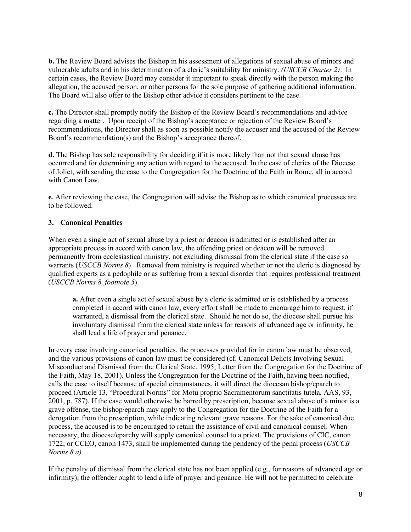**b.** The Review Board advises the Bishop in his assessment of allegations of sexual abuse of minors and vulnerable adults and in his determination of a cleric's suitability for ministry. *(USCCB Charter 2)*. In certain cases, the Review Board may consider it important to speak directly with the person making the allegation, the accused person, or other persons for the sole purpose of gathering additional information. The Board will also offer to the Bishop other advice it considers pertinent to the case.

**c.** The Director shall promptly notify the Bishop of the Review Board's recommendations and advice regarding a matter. Upon receipt of the Bishop's acceptance or rejection of the Review Board's recommendations, the Director shall as soon as possible notify the accuser and the accused of the Review Board's recommendation(s) and the Bishop's acceptance thereof.

**d.** The Bishop has sole responsibility for deciding if it is more likely than not that sexual abuse has occurred and for determining any action with regard to the accused. In the case of clerics of the Diocese of Joliet, with sending the case to the Congregation for the Doctrine of the Faith in Rome, all in accord with Canon Law.

**e***.* After reviewing the case, the Congregation will advise the Bishop as to which canonical processes are to be followed.

## **3. Canonical Penalties**

When even a single act of sexual abuse by a priest or deacon is admitted or is established after an appropriate process in accord with canon law, the offending priest or deacon will be removed permanently from ecclesiastical ministry, not excluding dismissal from the clerical state if the case so warrants (*USCCB Norms 8*). Removal from ministry is required whether or not the cleric is diagnosed by qualified experts as a pedophile or as suffering from a sexual disorder that requires professional treatment (*USCCB Norms 8, footnote 5*).

**a.** After even a single act of sexual abuse by a cleric is admitted or is established by a process completed in accord with canon law, every effort shall be made to encourage him to request, if warranted, a dismissal from the clerical state. Should he not do so, the diocese shall pursue his involuntary dismissal from the clerical state unless for reasons of advanced age or infirmity, he shall lead a life of prayer and penance.

In every case involving canonical penalties, the processes provided for in canon law must be observed, and the various provisions of canon law must be considered (cf. Canonical Delicts Involving Sexual Misconduct and Dismissal from the Clerical State, 1995; Letter from the Congregation for the Doctrine of the Faith, May 18, 2001). Unless the Congregation for the Doctrine of the Faith, having been notified, calls the case to itself because of special circumstances, it will direct the diocesan bishop/eparch to proceed (Article 13, "Procedural Norms" for Motu proprio Sacramentorum sanctitatis tutela, AAS, 93, 2001, p. 787). If the case would otherwise be barred by prescription, because sexual abuse of a minor is a grave offense, the bishop/eparch may apply to the Congregation for the Doctrine of the Faith for a derogation from the prescription, while indicating relevant grave reasons. For the sake of canonical due process, the accused is to be encouraged to retain the assistance of civil and canonical counsel. When necessary, the diocese/eparchy will supply canonical counsel to a priest. The provisions of CIC, canon 1722, or CCEO, canon 1473, shall be implemented during the pendency of the penal process (*USCCB Norms 8 a).* 

If the penalty of dismissal from the clerical state has not been applied (e.g., for reasons of advanced age or infirmity), the offender ought to lead a life of prayer and penance. He will not be permitted to celebrate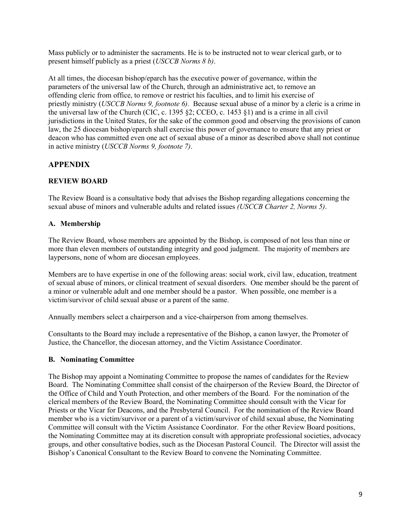Mass publicly or to administer the sacraments. He is to be instructed not to wear clerical garb, or to present himself publicly as a priest (*USCCB Norms 8 b)*.

At all times, the diocesan bishop/eparch has the executive power of governance, within the parameters of the universal law of the Church, through an administrative act, to remove an offending cleric from office, to remove or restrict his faculties, and to limit his exercise of priestly ministry (*USCCB Norms 9, footnote 6).* Because sexual abuse of a minor by a cleric is a crime in the universal law of the Church (CIC, c. 1395 §2; CCEO, c. 1453 §1) and is a crime in all civil jurisdictions in the United States, for the sake of the common good and observing the provisions of canon law, the 25 diocesan bishop/eparch shall exercise this power of governance to ensure that any priest or deacon who has committed even one act of sexual abuse of a minor as described above shall not continue in active ministry (*USCCB Norms 9, footnote 7)*.

# **APPENDIX**

# **REVIEW BOARD**

The Review Board is a consultative body that advises the Bishop regarding allegations concerning the sexual abuse of minors and vulnerable adults and related issues *(USCCB Charter 2, Norms 5)*.

# **A. Membership**

The Review Board, whose members are appointed by the Bishop, is composed of not less than nine or more than eleven members of outstanding integrity and good judgment. The majority of members are laypersons, none of whom are diocesan employees.

Members are to have expertise in one of the following areas: social work, civil law, education, treatment of sexual abuse of minors, or clinical treatment of sexual disorders. One member should be the parent of a minor or vulnerable adult and one member should be a pastor. When possible, one member is a victim/survivor of child sexual abuse or a parent of the same.

Annually members select a chairperson and a vice-chairperson from among themselves.

Consultants to the Board may include a representative of the Bishop, a canon lawyer, the Promoter of Justice, the Chancellor, the diocesan attorney, and the Victim Assistance Coordinator.

# **B. Nominating Committee**

The Bishop may appoint a Nominating Committee to propose the names of candidates for the Review Board. The Nominating Committee shall consist of the chairperson of the Review Board, the Director of the Office of Child and Youth Protection, and other members of the Board. For the nomination of the clerical members of the Review Board, the Nominating Committee should consult with the Vicar for Priests or the Vicar for Deacons, and the Presbyteral Council. For the nomination of the Review Board member who is a victim/survivor or a parent of a victim/survivor of child sexual abuse, the Nominating Committee will consult with the Victim Assistance Coordinator. For the other Review Board positions, the Nominating Committee may at its discretion consult with appropriate professional societies, advocacy groups, and other consultative bodies, such as the Diocesan Pastoral Council. The Director will assist the Bishop's Canonical Consultant to the Review Board to convene the Nominating Committee.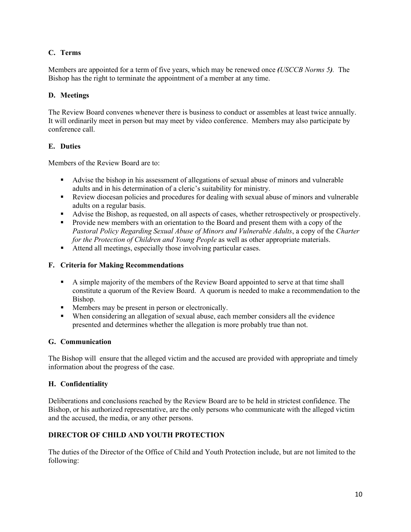# **C. Terms**

Members are appointed for a term of five years, which may be renewed once *(USCCB Norms 5).* The Bishop has the right to terminate the appointment of a member at any time.

## **D. Meetings**

The Review Board convenes whenever there is business to conduct or assembles at least twice annually. It will ordinarily meet in person but may meet by video conference. Members may also participate by conference call.

## **E. Duties**

Members of the Review Board are to:

- Advise the bishop in his assessment of allegations of sexual abuse of minors and vulnerable adults and in his determination of a cleric's suitability for ministry.
- Review diocesan policies and procedures for dealing with sexual abuse of minors and vulnerable adults on a regular basis.
- Advise the Bishop, as requested, on all aspects of cases, whether retrospectively or prospectively.
- **Provide new members with an orientation to the Board and present them with a copy of the** *Pastoral Policy Regarding Sexual Abuse of Minors and Vulnerable Adults*, a copy of the *Charter for the Protection of Children and Young People* as well as other appropriate materials.
- Attend all meetings, especially those involving particular cases.

### **F. Criteria for Making Recommendations**

- A simple majority of the members of the Review Board appointed to serve at that time shall constitute a quorum of the Review Board. A quorum is needed to make a recommendation to the Bishop.
- Members may be present in person or electronically.
- When considering an allegation of sexual abuse, each member considers all the evidence presented and determines whether the allegation is more probably true than not.

# **G. Communication**

The Bishop will ensure that the alleged victim and the accused are provided with appropriate and timely information about the progress of the case.

# **H. Confidentiality**

Deliberations and conclusions reached by the Review Board are to be held in strictest confidence. The Bishop, or his authorized representative, are the only persons who communicate with the alleged victim and the accused, the media, or any other persons.

# **DIRECTOR OF CHILD AND YOUTH PROTECTION**

The duties of the Director of the Office of Child and Youth Protection include, but are not limited to the following: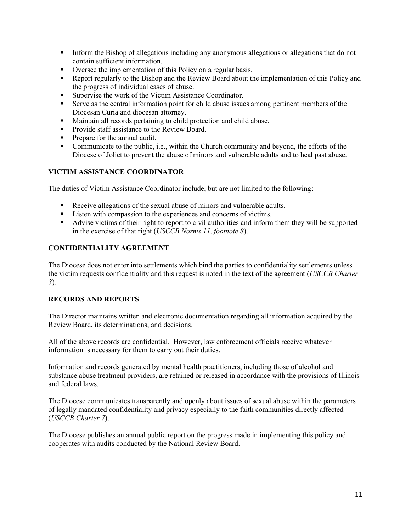- Inform the Bishop of allegations including any anonymous allegations or allegations that do not contain sufficient information.
- Oversee the implementation of this Policy on a regular basis.
- Report regularly to the Bishop and the Review Board about the implementation of this Policy and the progress of individual cases of abuse.
- Supervise the work of the Victim Assistance Coordinator.
- Serve as the central information point for child abuse issues among pertinent members of the Diocesan Curia and diocesan attorney.
- Maintain all records pertaining to child protection and child abuse.
- **Provide staff assistance to the Review Board.**
- **Prepare for the annual audit.**
- Communicate to the public, i.e., within the Church community and beyond, the efforts of the Diocese of Joliet to prevent the abuse of minors and vulnerable adults and to heal past abuse.

# **VICTIM ASSISTANCE COORDINATOR**

The duties of Victim Assistance Coordinator include, but are not limited to the following:

- Receive allegations of the sexual abuse of minors and vulnerable adults.
- Listen with compassion to the experiences and concerns of victims.
- Advise victims of their right to report to civil authorities and inform them they will be supported in the exercise of that right (*USCCB Norms 11, footnote 8*).

# **CONFIDENTIALITY AGREEMENT**

The Diocese does not enter into settlements which bind the parties to confidentiality settlements unless the victim requests confidentiality and this request is noted in the text of the agreement (*USCCB Charter 3*).

#### **RECORDS AND REPORTS**

The Director maintains written and electronic documentation regarding all information acquired by the Review Board, its determinations, and decisions.

All of the above records are confidential. However, law enforcement officials receive whatever information is necessary for them to carry out their duties.

Information and records generated by mental health practitioners, including those of alcohol and substance abuse treatment providers, are retained or released in accordance with the provisions of Illinois and federal laws.

The Diocese communicates transparently and openly about issues of sexual abuse within the parameters of legally mandated confidentiality and privacy especially to the faith communities directly affected (*USCCB Charter 7*).

The Diocese publishes an annual public report on the progress made in implementing this policy and cooperates with audits conducted by the National Review Board.